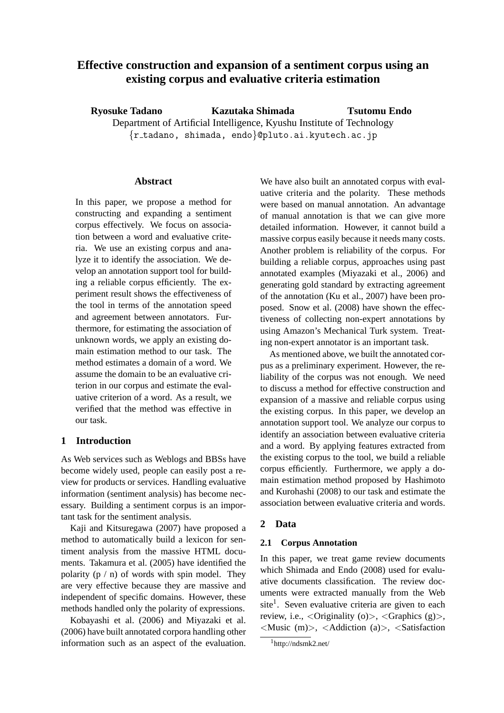# **Effective construction and expansion of a sentiment corpus using an existing corpus and evaluative criteria estimation**

**Ryosuke Tadano Kazutaka Shimada** Department of Artificial Intelligence, Kyushu Institute of Technology {r tadano, shimada, endo}@pluto.ai.kyutech.ac.jp **Tsutomu Endo**

### **Abstract**

In this paper, we propose a method for constructing and expanding a sentiment corpus effectively. We focus on association between a word and evaluative criteria. We use an existing corpus and analyze it to identify the association. We develop an annotation support tool for building a reliable corpus efficiently. The experiment result shows the effectiveness of the tool in terms of the annotation speed and agreement between annotators. Furthermore, for estimating the association of unknown words, we apply an existing domain estimation method to our task. The method estimates a domain of a word. We assume the domain to be an evaluative criterion in our corpus and estimate the evaluative criterion of a word. As a result, we verified that the method was effective in our task.

# **1 Introduction**

As Web services such as Weblogs and BBSs have become widely used, people can easily post a review for products or services. Handling evaluative information (sentiment analysis) has become necessary. Building a sentiment corpus is an important task for the sentiment analysis.

Kaji and Kitsuregawa (2007) have proposed a method to automatically build a lexicon for sentiment analysis from the massive HTML documents. Takamura et al. (2005) have identified the polarity  $(p / n)$  of words with spin model. They are very effective because they are massive and independent of specific domains. However, these methods handled only the polarity of expressions.

Kobayashi et al. (2006) and Miyazaki et al. (2006) have built annotated corpora handling other information such as an aspect of the evaluation. We have also built an annotated corpus with evaluative criteria and the polarity. These methods were based on manual annotation. An advantage of manual annotation is that we can give more detailed information. However, it cannot build a massive corpus easily because it needs many costs. Another problem is reliability of the corpus. For building a reliable corpus, approaches using past annotated examples (Miyazaki et al., 2006) and generating gold standard by extracting agreement of the annotation (Ku et al., 2007) have been proposed. Snow et al. (2008) have shown the effectiveness of collecting non-expert annotations by using Amazon's Mechanical Turk system. Treating non-expert annotator is an important task.

As mentioned above, we built the annotated corpus as a preliminary experiment. However, the reliability of the corpus was not enough. We need to discuss a method for effective construction and expansion of a massive and reliable corpus using the existing corpus. In this paper, we develop an annotation support tool. We analyze our corpus to identify an association between evaluative criteria and a word. By applying features extracted from the existing corpus to the tool, we build a reliable corpus efficiently. Furthermore, we apply a domain estimation method proposed by Hashimoto and Kurohashi (2008) to our task and estimate the association between evaluative criteria and words.

# **2 Data**

#### **2.1 Corpus Annotation**

In this paper, we treat game review documents which Shimada and Endo (2008) used for evaluative documents classification. The review documents were extracted manually from the Web site<sup>1</sup>. Seven evaluative criteria are given to each review, i.e.,  $\langle$ Originality (o) $>$ ,  $\langle$ Graphics (g) $>$ ,  $\langle$ Music (m) $>$ ,  $\langle$ Addiction (a) $>$ ,  $\langle$ Satisfaction

<sup>1</sup>http://ndsmk2.net/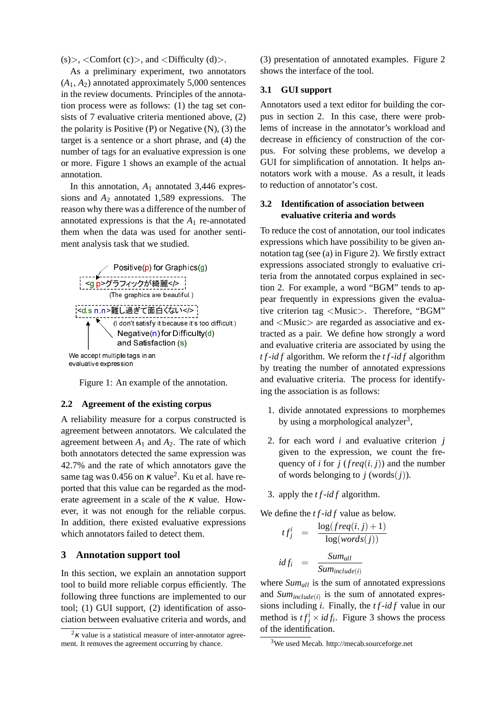$(s)$ , <Comfort  $(c)$ , and <Difficulty  $(d)$ .

As a preliminary experiment, two annotators  $(A_1, A_2)$  annotated approximately 5,000 sentences in the review documents. Principles of the annotation process were as follows: (1) the tag set consists of 7 evaluative criteria mentioned above, (2) the polarity is Positive  $(P)$  or Negative  $(N)$ ,  $(3)$  the target is a sentence or a short phrase, and (4) the number of tags for an evaluative expression is one or more. Figure 1 shows an example of the actual annotation.

In this annotation,  $A_1$  annotated 3,446 expressions and *A*<sup>2</sup> annotated 1,589 expressions. The reason why there was a difference of the number of annotated expressions is that the  $A_1$  re-annotated them when the data was used for another sentiment analysis task that we studied.



Figure 1: An example of the annotation.

### **2.2 Agreement of the existing corpus**

A reliability measure for a corpus constructed is agreement between annotators. We calculated the agreement between  $A_1$  and  $A_2$ . The rate of which both annotators detected the same expression was 42.7% and the rate of which annotators gave the same tag was  $0.456$  on  $\kappa$  value<sup>2</sup>. Ku et al. have reported that this value can be regarded as the moderate agreement in a scale of the  $\kappa$  value. However, it was not enough for the reliable corpus. In addition, there existed evaluative expressions which annotators failed to detect them.

### **3 Annotation support tool**

In this section, we explain an annotation support tool to build more reliable corpus efficiently. The following three functions are implemented to our tool; (1) GUI support, (2) identification of association between evaluative criteria and words, and (3) presentation of annotated examples. Figure 2 shows the interface of the tool.

### **3.1 GUI support**

Annotators used a text editor for building the corpus in section 2. In this case, there were problems of increase in the annotator's workload and decrease in efficiency of construction of the corpus. For solving these problems, we develop a GUI for simplification of annotation. It helps annotators work with a mouse. As a result, it leads to reduction of annotator's cost.

# **3.2 Identification of association between evaluative criteria and words**

To reduce the cost of annotation, our tool indicates expressions which have possibility to be given annotation tag (see (a) in Figure 2). We firstly extract expressions associated strongly to evaluative criteria from the annotated corpus explained in section 2. For example, a word "BGM" tends to appear frequently in expressions given the evaluative criterion tag <Music>. Therefore, "BGM" and <Music> are regarded as associative and extracted as a pair. We define how strongly a word and evaluative criteria are associated by using the *t f*-*id f* algorithm. We reform the *t f*-*id f* algorithm by treating the number of annotated expressions and evaluative criteria. The process for identifying the association is as follows:

- 1. divide annotated expressions to morphemes by using a morphological analyzer<sup>3</sup>,
- 2. for each word *i* and evaluative criterion *j* given to the expression, we count the frequency of *i* for *j* ( $freq(i, j)$ ) and the number of words belonging to  $j$  (words $(j)$ ).
- 3. apply the *t f*-*id f* algorithm.

We define the *t f*-*id f* value as below.

$$
tf_j^i = \frac{\log(freq(i, j) + 1)}{\log(words(j))}
$$
  

$$
idf_i = \frac{Sum_{all}}{Sum_{include(i)}}
$$

where *Sumall* is the sum of annotated expressions and  $Sum_{include(i)}$  is the sum of annotated expressions including *i*. Finally, the *t f*-*id f* value in our method is  $tf_j^i \times idf_i$ . Figure 3 shows the process of the identification.

<sup>&</sup>lt;sup>2</sup>κ value is a statistical measure of inter-annotator agreement. It removes the agreement occurring by chance.

<sup>3</sup>We used Mecab. http://mecab.sourceforge.net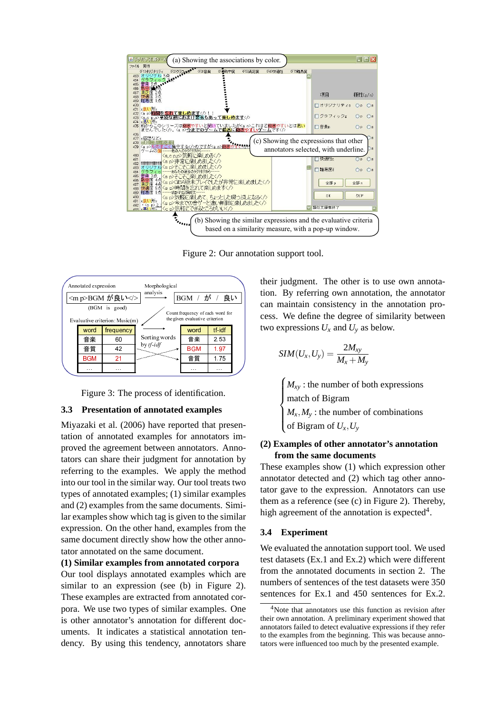

Figure 2: Our annotation support tool.



Figure 3: The process of identification.

### **3.3 Presentation of annotated examples**

Miyazaki et al. (2006) have reported that presentation of annotated examples for annotators improved the agreement between annotators. Annotators can share their judgment for annotation by referring to the examples. We apply the method into our tool in the similar way. Our tool treats two types of annotated examples; (1) similar examples and (2) examples from the same documents. Similar examples show which tag is given to the similar expression. On the other hand, examples from the same document directly show how the other annotator annotated on the same document.

#### **(1) Similar examples from annotated corpora**

Our tool displays annotated examples which are similar to an expression (see (b) in Figure 2). These examples are extracted from annotated corpora. We use two types of similar examples. One is other annotator's annotation for different documents. It indicates a statistical annotation tendency. By using this tendency, annotators share their judgment. The other is to use own annotation. By referring own annotation, the annotator can maintain consistency in the annotation process. We define the degree of similarity between two expressions  $U_x$  and  $U_y$  as below.

$$
SIM(U_x,U_y)=\frac{2M_{xy}}{M_x+M_y}
$$

 $\overline{a}$  $\begin{cases} M_{xy} :$  the number<br>match of Bigram  $M_x, M_y$ : the number of combinations  $M_{xy}$ : the number of both expressions of Bigram of  $U_x, U_y$ 

# **(2) Examples of other annotator's annotation from the same documents**

These examples show (1) which expression other annotator detected and (2) which tag other annotator gave to the expression. Annotators can use them as a reference (see (c) in Figure 2). Thereby, high agreement of the annotation is expected<sup>4</sup>.

# **3.4 Experiment**

We evaluated the annotation support tool. We used test datasets (Ex.1 and Ex.2) which were different from the annotated documents in section 2. The numbers of sentences of the test datasets were 350 sentences for Ex.1 and 450 sentences for Ex.2.

<sup>4</sup>Note that annotators use this function as revision after their own annotation. A preliminary experiment showed that annotators failed to detect evaluative expressions if they refer to the examples from the beginning. This was because annotators were influenced too much by the presented example.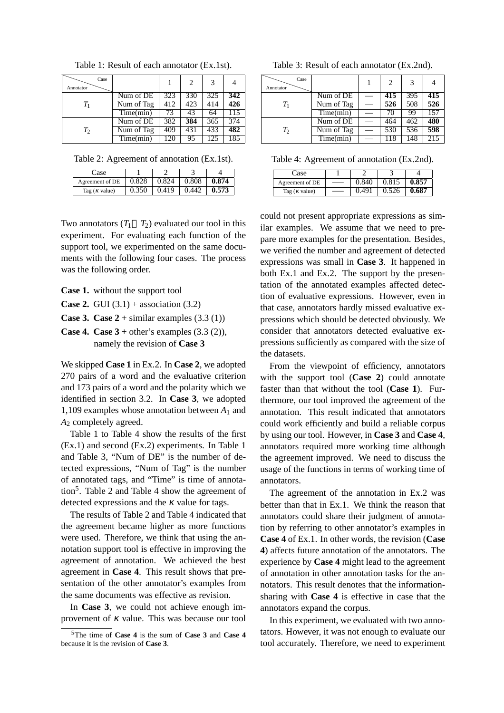| Case<br>Annotator |            |                  | $\mathcal{D}$ | 3   |     |
|-------------------|------------|------------------|---------------|-----|-----|
|                   | Num of DE  | 323              | 330           | 325 | 342 |
| $T_1$             | Num of Tag | 412              | 423           | 414 | 426 |
|                   | Time(min)  | 73               | 43            | 64  | 115 |
|                   | Num of DE  | 382              | 384           | 365 | 374 |
| $T_2$             | Num of Tag | 409              | 431           | 433 | 482 |
|                   | Time(min)  | $1\overline{2}0$ | 95            | 125 | 185 |

Table 1: Result of each annotator (Ex.1st).

Table 2: Agreement of annotation (Ex.1st).

| ∴ase                  |       |       |       |       |
|-----------------------|-------|-------|-------|-------|
| Agreement of DE       | 0.828 | 0.824 | 0.808 | 0.874 |
| Tag ( $\kappa$ value) | 0.350 | 0.419 | 0.442 | 0.573 |

Two annotators  $(T_1 \quad T_2)$  evaluated our tool in this experiment. For evaluating each function of the support tool, we experimented on the same documents with the following four cases. The process was the following order.

**Case 1.** without the support tool

- **Case 2.** GUI  $(3.1)$  + association  $(3.2)$
- **Case 3. Case**  $2 +$  **similar examples (3.3 (1))**
- **Case 4. Case**  $3 +$  **other's examples**  $(3.3 (2))$ **,** namely the revision of **Case 3**

We skipped **Case 1** in Ex.2. In **Case 2**, we adopted 270 pairs of a word and the evaluative criterion and 173 pairs of a word and the polarity which we identified in section 3.2. In **Case 3**, we adopted 1,109 examples whose annotation between  $A_1$  and *A*<sup>2</sup> completely agreed.

Table 1 to Table 4 show the results of the first (Ex.1) and second (Ex.2) experiments. In Table 1 and Table 3, "Num of DE" is the number of detected expressions, "Num of Tag" is the number of annotated tags, and "Time" is time of annotation<sup>5</sup>. Table 2 and Table 4 show the agreement of detected expressions and the  $\kappa$  value for tags.

The results of Table 2 and Table 4 indicated that the agreement became higher as more functions were used. Therefore, we think that using the annotation support tool is effective in improving the agreement of annotation. We achieved the best agreement in **Case 4**. This result shows that presentation of the other annotator's examples from the same documents was effective as revision.

In **Case 3**, we could not achieve enough improvement of  $\kappa$  value. This was because our tool

Table 3: Result of each annotator (Ex.2nd).

| Case<br>Annotator |            | 2   | 3   |     |
|-------------------|------------|-----|-----|-----|
|                   | Num of DE  | 415 | 395 | 415 |
| $T_1$             | Num of Tag | 526 | 508 | 526 |
|                   | Time(min)  | 70  | 99  | 157 |
|                   | Num of DE  | 464 | 462 | 480 |
| T <sub>2</sub>    | Num of Tag | 530 | 536 | 598 |
|                   | Time(min)  | 118 | 148 |     |

Table 4: Agreement of annotation (Ex.2nd).

| lase.                 |       |       |       |
|-----------------------|-------|-------|-------|
| Agreement of DE       | 0.840 | 0.815 | 0.857 |
| Tag ( $\kappa$ value) | 101 ( | 0.526 | 0.687 |

could not present appropriate expressions as similar examples. We assume that we need to prepare more examples for the presentation. Besides, we verified the number and agreement of detected expressions was small in **Case 3**. It happened in both Ex.1 and Ex.2. The support by the presentation of the annotated examples affected detection of evaluative expressions. However, even in that case, annotators hardly missed evaluative expressions which should be detected obviously. We consider that annotators detected evaluative expressions sufficiently as compared with the size of the datasets.

From the viewpoint of efficiency, annotators with the support tool (**Case 2**) could annotate faster than that without the tool (**Case 1**). Furthermore, our tool improved the agreement of the annotation. This result indicated that annotators could work efficiently and build a reliable corpus by using our tool. However, in **Case 3** and **Case 4**, annotators required more working time although the agreement improved. We need to discuss the usage of the functions in terms of working time of annotators.

The agreement of the annotation in Ex.2 was better than that in Ex.1. We think the reason that annotators could share their judgment of annotation by referring to other annotator's examples in **Case 4** of Ex.1. In other words, the revision (**Case 4**) affects future annotation of the annotators. The experience by **Case 4** might lead to the agreement of annotation in other annotation tasks for the annotators. This result denotes that the informationsharing with **Case 4** is effective in case that the annotators expand the corpus.

In this experiment, we evaluated with two annotators. However, it was not enough to evaluate our tool accurately. Therefore, we need to experiment

<sup>5</sup>The time of **Case 4** is the sum of **Case 3** and **Case 4** because it is the revision of **Case 3**.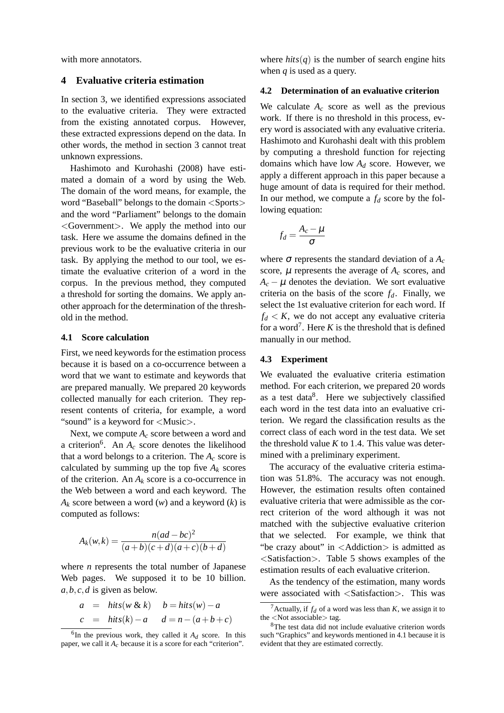with more annotators.

### **4 Evaluative criteria estimation**

In section 3, we identified expressions associated to the evaluative criteria. They were extracted from the existing annotated corpus. However, these extracted expressions depend on the data. In other words, the method in section 3 cannot treat unknown expressions.

Hashimoto and Kurohashi (2008) have estimated a domain of a word by using the Web. The domain of the word means, for example, the word "Baseball" belongs to the domain <Sports> and the word "Parliament" belongs to the domain <Government>. We apply the method into our task. Here we assume the domains defined in the previous work to be the evaluative criteria in our task. By applying the method to our tool, we estimate the evaluative criterion of a word in the corpus. In the previous method, they computed a threshold for sorting the domains. We apply another approach for the determination of the threshold in the method.

### **4.1 Score calculation**

First, we need keywords for the estimation process because it is based on a co-occurrence between a word that we want to estimate and keywords that are prepared manually. We prepared 20 keywords collected manually for each criterion. They represent contents of criteria, for example, a word "sound" is a keyword for <Music>.

Next, we compute *A<sup>c</sup>* score between a word and a criterion<sup>6</sup>. An  $A_c$  score denotes the likelihood that a word belongs to a criterion. The  $A_c$  score is calculated by summing up the top five  $A_k$  scores of the criterion. An  $A_k$  score is a co-occurrence in the Web between a word and each keyword. The *A<sup>k</sup>* score between a word (*w*) and a keyword (*k*) is computed as follows:

$$
A_k(w,k) = \frac{n(ad - bc)^2}{(a+b)(c+d)(a+c)(b+d)}
$$

where *n* represents the total number of Japanese Web pages. We supposed it to be 10 billion. *a*,*b*,*c*,*d* is given as below.

$$
a = hits(w \& k) \quad b = hits(w) - a
$$
  

$$
c = hits(k) - a \quad d = n - (a + b + c)
$$

where  $hits(q)$  is the number of search engine hits when *q* is used as a query.

### **4.2 Determination of an evaluative criterion**

We calculate  $A_c$  score as well as the previous work. If there is no threshold in this process, every word is associated with any evaluative criteria. Hashimoto and Kurohashi dealt with this problem by computing a threshold function for rejecting domains which have low *A<sup>d</sup>* score. However, we apply a different approach in this paper because a huge amount of data is required for their method. In our method, we compute a  $f_d$  score by the following equation:

$$
f_d = \frac{A_c - \mu}{\sigma}
$$

where  $\sigma$  represents the standard deviation of a  $A_c$ score,  $\mu$  represents the average of  $A_c$  scores, and  $A_c - \mu$  denotes the deviation. We sort evaluative criteria on the basis of the score  $f_d$ . Finally, we select the 1st evaluative criterion for each word. If  $f_d < K$ , we do not accept any evaluative criteria for a word<sup>7</sup>. Here  $K$  is the threshold that is defined manually in our method.

### **4.3 Experiment**

We evaluated the evaluative criteria estimation method. For each criterion, we prepared 20 words as a test data<sup>8</sup>. Here we subjectively classified each word in the test data into an evaluative criterion. We regard the classification results as the correct class of each word in the test data. We set the threshold value  $K$  to 1.4. This value was determined with a preliminary experiment.

The accuracy of the evaluative criteria estimation was 51.8%. The accuracy was not enough. However, the estimation results often contained evaluative criteria that were admissible as the correct criterion of the word although it was not matched with the subjective evaluative criterion that we selected. For example, we think that "be crazy about" in <Addiction> is admitted as <Satisfaction>. Table 5 shows examples of the estimation results of each evaluative criterion.

As the tendency of the estimation, many words were associated with <Satisfaction>. This was

 ${}^{6}$ In the previous work, they called it  $A_d$  score. In this paper, we call it *Ac* because it is a score for each "criterion".

<sup>&</sup>lt;sup>7</sup>Actually, if  $f_d$  of a word was less than *K*, we assign it to the <Not associable> tag.

<sup>8</sup>The test data did not include evaluative criterion words such "Graphics" and keywords mentioned in 4.1 because it is evident that they are estimated correctly.